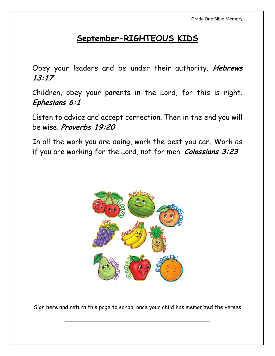#### **September-RIGHTEOUS KIDS**

Obey your leaders and be under their authority. **Hebrews 13:17**

Children, obey your parents in the Lord, for this is right. **Ephesians 6:1**

Listen to advice and accept correction. Then in the end you will be wise. **Proverbs 19:20**

In all the work you are doing, work the best you can. Work as if you are working for the Lord, not for men. **Colossians 3:23**



Sign here and return this page to school once your child has memorized the verses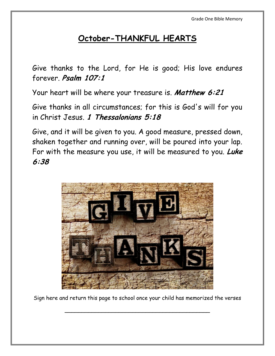## **October-THANKFUL HEARTS**

Give thanks to the Lord, for He is good; His love endures forever. **Psalm 107:1**

Your heart will be where your treasure is. **Matthew 6:21**

Give thanks in all circumstances; for this is God's will for you in Christ Jesus. **1 Thessalonians 5:18**

Give, and it will be given to you. A good measure, pressed down, shaken together and running over, will be poured into your lap. For with the measure you use, it will be measured to you. **Luke 6:38** 



Sign here and return this page to school once your child has memorized the verses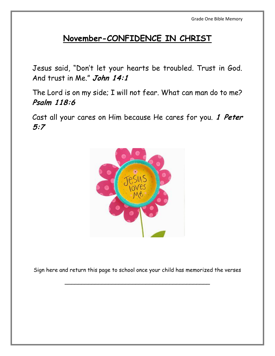### **November-CONFIDENCE IN CHRIST**

Jesus said, "Don't let your hearts be troubled. Trust in God. And trust in Me." **John 14:1**

The Lord is on my side; I will not fear. What can man do to me? **Psalm 118:6**

Cast all your cares on Him because He cares for you. **1 Peter 5:7** 



Sign here and return this page to school once your child has memorized the verses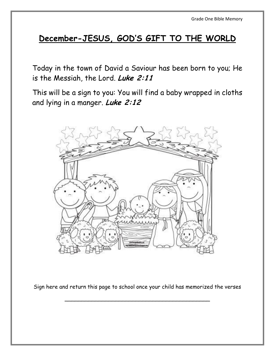## **December-JESUS, GOD'S GIFT TO THE WORLD**

Today in the town of David a Saviour has been born to you; He is the Messiah, the Lord. **Luke 2:11**

This will be a sign to you: You will find a baby wrapped in cloths and lying in a manger. **Luke 2:12** 



Sign here and return this page to school once your child has memorized the verses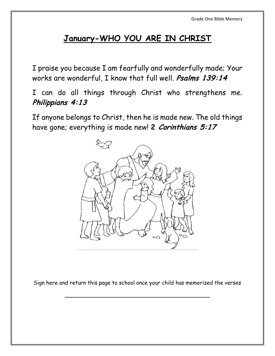# **January-WHO YOU ARE IN CHRIST**

I praise you because I am fearfully and wonderfully made; Your works are wonderful, I know that full well. **Psalms 139:14**

I can do all things through Christ who strengthens me. **Philippians 4:13**

If anyone belongs to Christ, then he is made new. The old things have gone; everything is made new! **2 Corinthians 5:17**



Sign here and return this page to school once your child has memorized the verses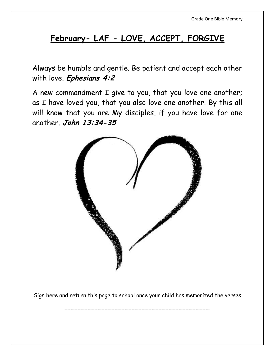# **February- LAF - LOVE, ACCEPT, FORGIVE**

Always be humble and gentle. Be patient and accept each other with love. **Ephesians 4:2**

A new commandment I give to you, that you love one another; as I have loved you, that you also love one another. By this all will know that you are My disciples, if you have love for one another. **John 13:34-35**



Sign here and return this page to school once your child has memorized the verses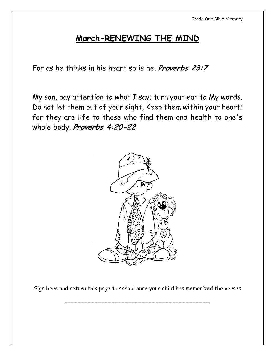### **March-RENEWING THE MIND**

For as he thinks in his heart so is he. **Proverbs 23:7**

My son, pay attention to what I say; turn your ear to My words. Do not let them out of your sight, Keep them within your heart; for they are life to those who find them and health to one's whole body. **Proverbs 4:20-22**



Sign here and return this page to school once your child has memorized the verses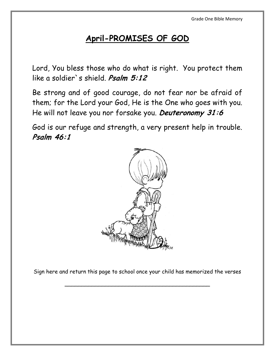## **April-PROMISES OF GOD**

Lord, You bless those who do what is right. You protect them like a soldier`s shield. **Psalm 5:12**

Be strong and of good courage, do not fear nor be afraid of them; for the Lord your God, He is the One who goes with you. He will not leave you nor forsake you. **Deuteronomy 31:6** 

God is our refuge and strength, a very present help in trouble. **Psalm 46:1**



Sign here and return this page to school once your child has memorized the verses